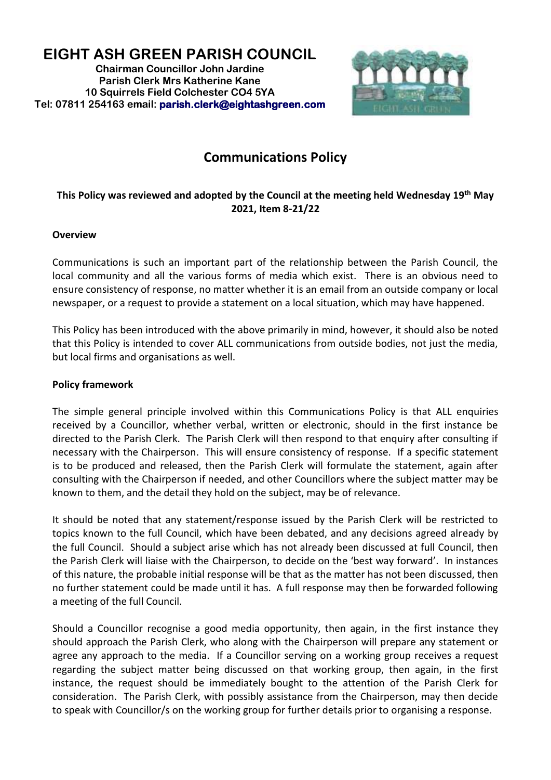**EIGHT ASH GREEN PARISH COUNCIL Chairman Councillor John Jardine Parish Clerk Mrs Katherine Kane 10 Squirrels Field Colchester CO4 5YA Tel: 07811 254163 email: [parish.clerk@eightashgreen.com](mailto:parish.clerk@eightashgreen.com)**



## **Communications Policy**

## **This Policy was reviewed and adopted by the Council at the meeting held Wednesday 19th May 2021, Item 8-21/22**

## **Overview**

Communications is such an important part of the relationship between the Parish Council, the local community and all the various forms of media which exist. There is an obvious need to ensure consistency of response, no matter whether it is an email from an outside company or local newspaper, or a request to provide a statement on a local situation, which may have happened.

This Policy has been introduced with the above primarily in mind, however, it should also be noted that this Policy is intended to cover ALL communications from outside bodies, not just the media, but local firms and organisations as well.

## **Policy framework**

The simple general principle involved within this Communications Policy is that ALL enquiries received by a Councillor, whether verbal, written or electronic, should in the first instance be directed to the Parish Clerk. The Parish Clerk will then respond to that enquiry after consulting if necessary with the Chairperson. This will ensure consistency of response. If a specific statement is to be produced and released, then the Parish Clerk will formulate the statement, again after consulting with the Chairperson if needed, and other Councillors where the subject matter may be known to them, and the detail they hold on the subject, may be of relevance.

It should be noted that any statement/response issued by the Parish Clerk will be restricted to topics known to the full Council, which have been debated, and any decisions agreed already by the full Council. Should a subject arise which has not already been discussed at full Council, then the Parish Clerk will liaise with the Chairperson, to decide on the 'best way forward'. In instances of this nature, the probable initial response will be that as the matter has not been discussed, then no further statement could be made until it has. A full response may then be forwarded following a meeting of the full Council.

Should a Councillor recognise a good media opportunity, then again, in the first instance they should approach the Parish Clerk, who along with the Chairperson will prepare any statement or agree any approach to the media. If a Councillor serving on a working group receives a request regarding the subject matter being discussed on that working group, then again, in the first instance, the request should be immediately bought to the attention of the Parish Clerk for consideration. The Parish Clerk, with possibly assistance from the Chairperson, may then decide to speak with Councillor/s on the working group for further details prior to organising a response.